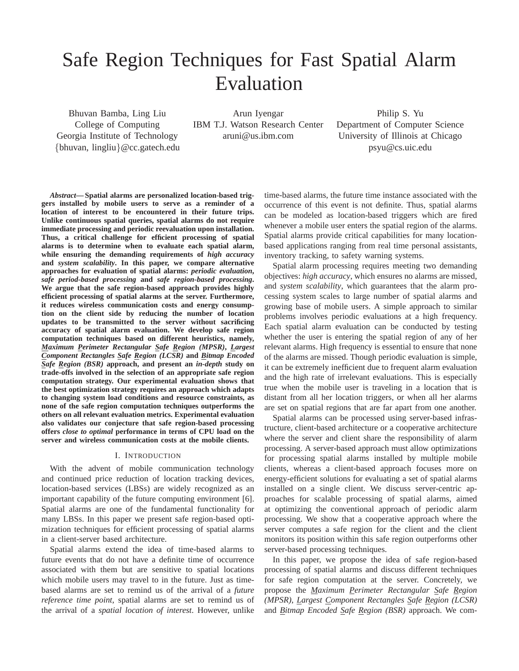# Safe Region Techniques for Fast Spatial Alarm Evaluation

Bhuvan Bamba, Ling Liu College of Computing Georgia Institute of Technology {bhuvan, lingliu}@cc.gatech.edu

Arun Iyengar IBM T.J. Watson Research Center aruni@us.ibm.com

Philip S. Yu Department of Computer Science University of Illinois at Chicago psyu@cs.uic.edu

*Abstract***— Spatial alarms are personalized location-based triggers installed by mobile users to serve as a reminder of a location of interest to be encountered in their future trips. Unlike continuous spatial queries, spatial alarms do not require immediate processing and periodic reevaluation upon installation. Thus, a critical challenge for efficient processing of spatial alarms is to determine when to evaluate each spatial alarm, while ensuring the demanding requirements of** *high accuracy* **and** *system scalability***. In this paper, we compare alternative approaches for evaluation of spatial alarms:** *periodic evaluation***,** *safe period-based processing* **and** *safe region-based processing***. We argue that the safe region-based approach provides highly efficient processing of spatial alarms at the server. Furthermore, it reduces wireless communication costs and energy consumption on the client side by reducing the number of location updates to be transmitted to the server without sacrificing accuracy of spatial alarm evaluation. We develop safe region computation techniques based on different heuristics, namely,** *Maximum Perimeter Rectangular Safe Region (MPSR)***,** *Largest Component Rectangles Safe Region (LCSR)* **and** *Bitmap Encoded Safe Region (BSR)* **approach, and present an** *in-depth* **study on trade-offs involved in the selection of an appropriate safe region computation strategy. Our experimental evaluation shows that the best optimization strategy requires an approach which adapts to changing system load conditions and resource constraints, as none of the safe region computation techniques outperforms the others on all relevant evaluation metrics. Experimental evaluation also validates our conjecture that safe region-based processing offers** *close to optimal* **performance in terms of CPU load on the server and wireless communication costs at the mobile clients.**

# I. INTRODUCTION

With the advent of mobile communication technology and continued price reduction of location tracking devices, location-based services (LBSs) are widely recognized as an important capability of the future computing environment [6]. Spatial alarms are one of the fundamental functionality for many LBSs. In this paper we present safe region-based optimization techniques for efficient processing of spatial alarms in a client-server based architecture.

Spatial alarms extend the idea of time-based alarms to future events that do not have a definite time of occurrence associated with them but are sensitive to spatial locations which mobile users may travel to in the future. Just as timebased alarms are set to remind us of the arrival of a *future reference time point*, spatial alarms are set to remind us of the arrival of a *spatial location of interest*. However, unlike

time-based alarms, the future time instance associated with the occurrence of this event is not definite. Thus, spatial alarms can be modeled as location-based triggers which are fired whenever a mobile user enters the spatial region of the alarms. Spatial alarms provide critical capabilities for many locationbased applications ranging from real time personal assistants, inventory tracking, to safety warning systems.

Spatial alarm processing requires meeting two demanding objectives: *high accuracy*, which ensures no alarms are missed, and *system scalability*, which guarantees that the alarm processing system scales to large number of spatial alarms and growing base of mobile users. A simple approach to similar problems involves periodic evaluations at a high frequency. Each spatial alarm evaluation can be conducted by testing whether the user is entering the spatial region of any of her relevant alarms. High frequency is essential to ensure that none of the alarms are missed. Though periodic evaluation is simple, it can be extremely inefficient due to frequent alarm evaluation and the high rate of irrelevant evaluations. This is especially true when the mobile user is traveling in a location that is distant from all her location triggers, or when all her alarms are set on spatial regions that are far apart from one another.

Spatial alarms can be processed using server-based infrastructure, client-based architecture or a cooperative architecture where the server and client share the responsibility of alarm processing. A server-based approach must allow optimizations for processing spatial alarms installed by multiple mobile clients, whereas a client-based approach focuses more on energy-efficient solutions for evaluating a set of spatial alarms installed on a single client. We discuss server-centric approaches for scalable processing of spatial alarms, aimed at optimizing the conventional approach of periodic alarm processing. We show that a cooperative approach where the server computes a safe region for the client and the client monitors its position within this safe region outperforms other server-based processing techniques.

In this paper, we propose the idea of safe region-based processing of spatial alarms and discuss different techniques for safe region computation at the server. Concretely, we propose the *Maximum Perimeter Rectangular Safe Region (MPSR)*, *Largest Component Rectangles Safe Region (LCSR)* and *Bitmap Encoded Safe Region (BSR)* approach. We com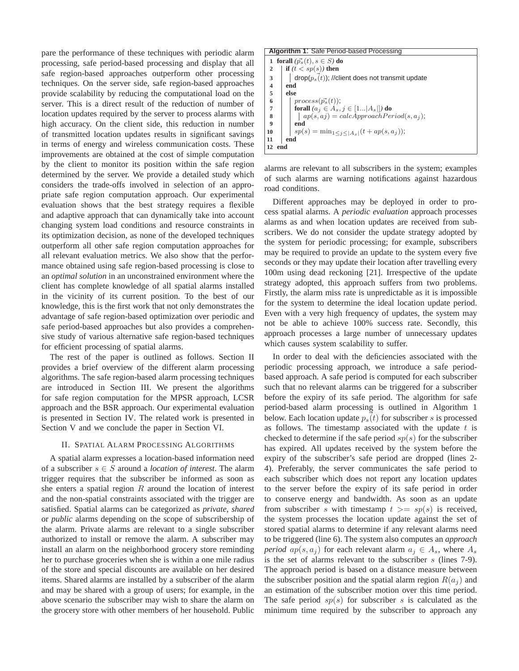pare the performance of these techniques with periodic alarm processing, safe period-based processing and display that all safe region-based approaches outperform other processing techniques. On the server side, safe region-based approaches provide scalability by reducing the computational load on the server. This is a direct result of the reduction of number of location updates required by the server to process alarms with high accuracy. On the client side, this reduction in number of transmitted location updates results in significant savings in terms of energy and wireless communication costs. These improvements are obtained at the cost of simple computation by the client to monitor its position within the safe region determined by the server. We provide a detailed study which considers the trade-offs involved in selection of an appropriate safe region computation approach. Our experimental evaluation shows that the best strategy requires a flexible and adaptive approach that can dynamically take into account changing system load conditions and resource constraints in its optimization decision, as none of the developed techniques outperform all other safe region computation approaches for all relevant evaluation metrics. We also show that the performance obtained using safe region-based processing is close to an *optimal solution* in an unconstrained environment where the client has complete knowledge of all spatial alarms installed in the vicinity of its current position. To the best of our knowledge, this is the first work that not only demonstrates the advantage of safe region-based optimization over periodic and safe period-based approaches but also provides a comprehensive study of various alternative safe region-based techniques for efficient processing of spatial alarms.

The rest of the paper is outlined as follows. Section II provides a brief overview of the different alarm processing algorithms. The safe region-based alarm processing techniques are introduced in Section III. We present the algorithms for safe region computation for the MPSR approach, LCSR approach and the BSR approach. Our experimental evaluation is presented in Section IV. The related work is presented in Section V and we conclude the paper in Section VI.

# II. SPATIAL ALARM PROCESSING ALGORITHMS

A spatial alarm expresses a location-based information need of a subscriber  $s \in S$  around a *location of interest*. The alarm trigger requires that the subscriber be informed as soon as she enters a spatial region  $R$  around the location of interest and the non-spatial constraints associated with the trigger are satisfied. Spatial alarms can be categorized as *private*, *shared* or *public* alarms depending on the scope of subscribership of the alarm. Private alarms are relevant to a single subscriber authorized to install or remove the alarm. A subscriber may install an alarm on the neighborhood grocery store reminding her to purchase groceries when she is within a one mile radius of the store and special discounts are available on her desired items. Shared alarms are installed by a subscriber of the alarm and may be shared with a group of users; for example, in the above scenario the subscriber may wish to share the alarm on the grocery store with other members of her household. Public

## **Algorithm 1**: Safe Period-based Processing

**1 forall**  $(\vec{p}_s(t), s \in S)$  **do if**  $(t < sp(s))$  **then**  $\begin{array}{c|c} 3 & \text{drop}(p_s(t)); \text{//client does not transmit update} \\ 4 & \text{end} \end{array}$ **4 end 5 else** 6 process( $\vec{p}_s(t)$ );<br> **6 forall**  $(a_i \in A_s)$ . **7 forall**  $(a_j \in A_s, j \in [1...|A_s])$  **do**<br>**8**  $|ap(s, a_j) = calcApproachPer$ **8**  $\begin{bmatrix} \n\text{ap}(s, aj) = calcApproachPeriod(s, a_j); \n\end{bmatrix}$ **9 end 10**  $| sp(s) = min_{1 \leq j \leq |A_s|} (t + ap(s, a_j));$ <br>**11** end **11 end 12 end**

alarms are relevant to all subscribers in the system; examples of such alarms are warning notifications against hazardous road conditions.

Different approaches may be deployed in order to process spatial alarms. A *periodic evaluation* approach processes alarms as and when location updates are received from subscribers. We do not consider the update strategy adopted by the system for periodic processing; for example, subscribers may be required to provide an update to the system every five seconds or they may update their location after travelling every 100m using dead reckoning [21]. Irrespective of the update strategy adopted, this approach suffers from two problems. Firstly, the alarm miss rate is unpredictable as it is impossible for the system to determine the ideal location update period. Even with a very high frequency of updates, the system may not be able to achieve 100% success rate. Secondly, this approach processes a large number of unnecessary updates which causes system scalability to suffer.

In order to deal with the deficiencies associated with the periodic processing approach, we introduce a safe periodbased approach. A safe period is computed for each subscriber such that no relevant alarms can be triggered for a subscriber before the expiry of its safe period. The algorithm for safe period-based alarm processing is outlined in Algorithm 1 below. Each location update  $p_s(t)$  for subscriber s is processed as follows. The timestamp associated with the update  $t$  is checked to determine if the safe period  $sp(s)$  for the subscriber has expired. All updates received by the system before the expiry of the subscriber's safe period are dropped (lines 2- 4). Preferably, the server communicates the safe period to each subscriber which does not report any location updates to the server before the expiry of its safe period in order to conserve energy and bandwidth. As soon as an update from subscriber s with timestamp  $t \geq s p(s)$  is received, the system processes the location update against the set of stored spatial alarms to determine if any relevant alarms need to be triggered (line 6). The system also computes an *approach period*  $ap(s, a_i)$  for each relevant alarm  $a_i \in A_s$ , where  $A_s$ is the set of alarms relevant to the subscriber s (lines 7-9). The approach period is based on a distance measure between the subscriber position and the spatial alarm region  $R(a_i)$  and an estimation of the subscriber motion over this time period. The safe period  $sp(s)$  for subscriber s is calculated as the minimum time required by the subscriber to approach any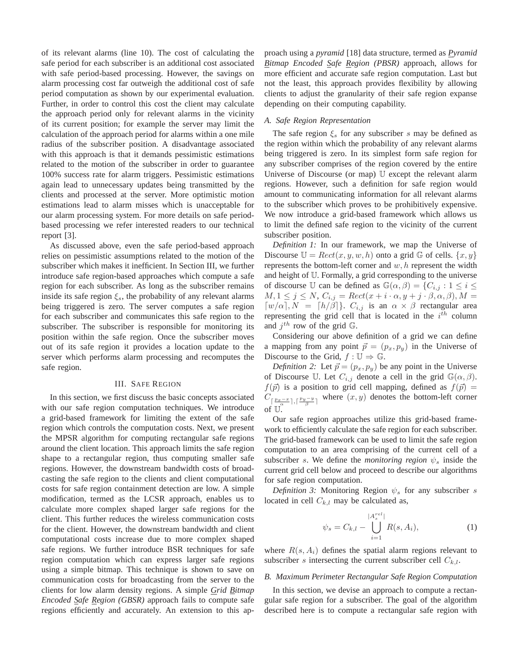of its relevant alarms (line 10). The cost of calculating the safe period for each subscriber is an additional cost associated with safe period-based processing. However, the savings on alarm processing cost far outweigh the additional cost of safe period computation as shown by our experimental evaluation. Further, in order to control this cost the client may calculate the approach period only for relevant alarms in the vicinity of its current position; for example the server may limit the calculation of the approach period for alarms within a one mile radius of the subscriber position. A disadvantage associated with this approach is that it demands pessimistic estimations related to the motion of the subscriber in order to guarantee 100% success rate for alarm triggers. Pessimistic estimations again lead to unnecessary updates being transmitted by the clients and processed at the server. More optimistic motion estimations lead to alarm misses which is unacceptable for our alarm processing system. For more details on safe periodbased processing we refer interested readers to our technical report [3].

As discussed above, even the safe period-based approach relies on pessimistic assumptions related to the motion of the subscriber which makes it inefficient. In Section III, we further introduce safe region-based approaches which compute a safe region for each subscriber. As long as the subscriber remains inside its safe region  $\xi_s$ , the probability of any relevant alarms being triggered is zero. The server computes a safe region for each subscriber and communicates this safe region to the subscriber. The subscriber is responsible for monitoring its position within the safe region. Once the subscriber moves out of its safe region it provides a location update to the server which performs alarm processing and recomputes the safe region.

## III. SAFE REGION

In this section, we first discuss the basic concepts associated with our safe region computation techniques. We introduce a grid-based framework for limiting the extent of the safe region which controls the computation costs. Next, we present the MPSR algorithm for computing rectangular safe regions around the client location. This approach limits the safe region shape to a rectangular region, thus computing smaller safe regions. However, the downstream bandwidth costs of broadcasting the safe region to the clients and client computational costs for safe region containment detection are low. A simple modification, termed as the LCSR approach, enables us to calculate more complex shaped larger safe regions for the client. This further reduces the wireless communication costs for the client. However, the downstream bandwidth and client computational costs increase due to more complex shaped safe regions. We further introduce BSR techniques for safe region computation which can express larger safe regions using a simple bitmap. This technique is shown to save on communication costs for broadcasting from the server to the clients for low alarm density regions. A simple *Grid Bitmap Encoded Safe Region (GBSR)* approach fails to compute safe regions efficiently and accurately. An extension to this approach using a *pyramid* [18] data structure, termed as *Pyramid Bitmap Encoded Safe Region (PBSR)* approach, allows for more efficient and accurate safe region computation. Last but not the least, this approach provides flexibility by allowing clients to adjust the granularity of their safe region expanse depending on their computing capability.

## *A. Safe Region Representation*

The safe region  $\xi_s$  for any subscriber s may be defined as the region within which the probability of any relevant alarms being triggered is zero. In its simplest form safe region for any subscriber comprises of the region covered by the entire Universe of Discourse (or map) U except the relevant alarm regions. However, such a definition for safe region would amount to communicating information for all relevant alarms to the subscriber which proves to be prohibitively expensive. We now introduce a grid-based framework which allows us to limit the defined safe region to the vicinity of the current subscriber position.

*Definition 1:* In our framework, we map the Universe of Discourse  $\mathbb{U} = \text{Rect}(x, y, w, h)$  onto a grid G of cells.  $\{x, y\}$ represents the bottom-left corner and  $w, h$  represent the width and height of U. Formally, a grid corresponding to the universe of discourse U can be defined as  $\mathbb{G}(\alpha,\beta) = \{C_{i,j} : 1 \leq i \leq j\}$  $M, 1 \leq j \leq N$ ,  $C_{i,j} = Rect(x+i \cdot \alpha, y+j \cdot \beta, \alpha, \beta), M =$  $\lceil w/\alpha \rceil$ ,  $N = \lceil h/\beta \rceil$ .  $C_{i,j}$  is an  $\alpha \times \beta$  rectangular area representing the grid cell that is located in the  $i^{th}$  column and  $j^{th}$  row of the grid  $\mathbb{G}$ .

Considering our above definition of a grid we can define a mapping from any point  $\vec{p} = (p_x, p_y)$  in the Universe of Discourse to the Grid,  $f : \mathbb{U} \Rightarrow \mathbb{G}$ .

*Definition 2:* Let  $\vec{p} = (p_x, p_y)$  be any point in the Universe of Discourse U. Let  $C_{i,j}$  denote a cell in the grid  $\mathbb{G}(\alpha,\beta)$ .  $f(\vec{p})$  is a position to grid cell mapping, defined as  $f(\vec{p}) =$  $C_{\lceil \frac{p_x-x}{\alpha} \rceil, \lceil \frac{p_y-y}{\beta} \rceil}$  where  $(x, y)$  denotes the bottom-left corner of  $\mathbb{U}^{\alpha}$ 

Our safe region approaches utilize this grid-based framework to efficiently calculate the safe region for each subscriber. The grid-based framework can be used to limit the safe region computation to an area comprising of the current cell of a subscriber s. We define the *monitoring region*  $\psi_s$  inside the current grid cell below and proceed to describe our algorithms for safe region computation.

*Definition 3:* Monitoring Region  $\psi_s$  for any subscriber s located in cell  $C_{k,l}$  may be calculated as,

$$
\psi_s = C_{k,l} - \bigcup_{i=1}^{|A_s^{rel}|} R(s, A_i), \tag{1}
$$

where  $R(s, A<sub>i</sub>)$  defines the spatial alarm regions relevant to subscriber s intersecting the current subscriber cell  $C_{k,l}$ .

## *B. Maximum Perimeter Rectangular Safe Region Computation*

In this section, we devise an approach to compute a rectangular safe region for a subscriber. The goal of the algorithm described here is to compute a rectangular safe region with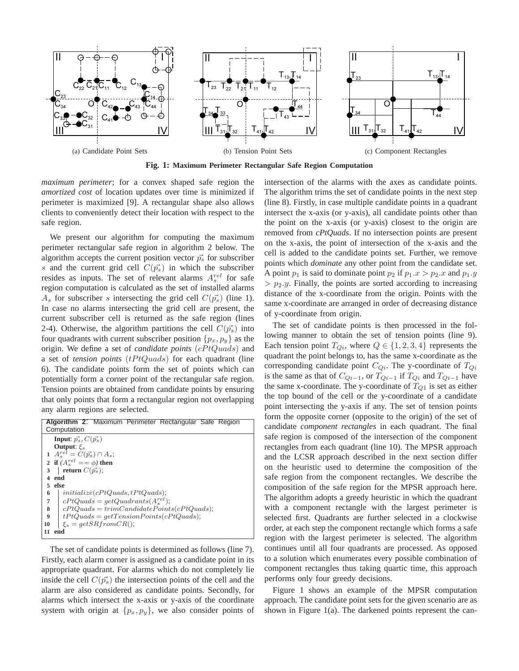

**Fig. 1: Maximum Perimeter Rectangular Safe Region Computation**

*maximum perimeter*; for a convex shaped safe region the *amortized cost* of location updates over time is minimized if perimeter is maximized [9]. A rectangular shape also allows clients to conveniently detect their location with respect to the safe region.

We present our algorithm for computing the maximum perimeter rectangular safe region in algorithm 2 below. The algorithm accepts the current position vector  $\vec{p_s}$  for subscriber s and the current grid cell  $C(\vec{p_s})$  in which the subscriber resides as inputs. The set of relevant alarms  $A_s^{rel}$  for safe region computation is calculated as the set of installed alarms  $A<sub>s</sub>$  for subscriber s intersecting the grid cell  $C(p_s)$  (line 1). In case no alarms intersecting the grid cell are present, the current subscriber cell is returned as the safe region (lines 2-4). Otherwise, the algorithm partitions the cell  $C(\vec{p_s})$  into four quadrants with current subscriber position  $\{p_x, p_y\}$  as the origin. We define a set of *candidate points* (cPtQuads) and a set of *tension points* (tPtQuads) for each quadrant (line 6). The candidate points form the set of points which can potentially form a corner point of the rectangular safe region. Tension points are obtained from candidate points by ensuring that only points that form a rectangular region not overlapping any alarm regions are selected.

| <b>Algorithm 2:</b> Maximum Perimeter Rectangular Safe Region |
|---------------------------------------------------------------|
| Computation                                                   |
| <b>Input:</b> $\vec{p_s}$ , $C(\vec{p_s})$                    |
| Output: $\mathcal{E}_s$                                       |
| 1 $A_s^{rel} = C(\vec{p_s}) \cap A_s;$                        |
| 2 if $(A^{rel}_{s} == \phi)$ then                             |
| return $C(\vec{p_s})$ ;<br>3                                  |
| end<br>4                                                      |
| else<br>5.                                                    |
| initialize(cPtQuads, tPtQuads);<br>6                          |
| $cPtQuads = getQuadrants(A_s^{rel});$<br>$\overline{7}$       |
| 8<br>$cPtQuads = trimC and datatePoints(cPtQuads);$           |
| $\boldsymbol{9}$<br>$tPtQuads = getTensionPoints(cPtQuads);$  |
| $\xi_s = getSR from CR()$ ;<br>10                             |
| 11<br>end                                                     |

The set of candidate points is determined as follows (line 7). Firstly, each alarm corner is assigned as a candidate point in its appropriate quadrant. For alarms which do not completely lie inside the cell  $C(\vec{p_s})$  the intersection points of the cell and the alarm are also considered as candidate points. Secondly, for alarms which intersect the x-axis or y-axis of the coordinate system with origin at  $\{p_x, p_y\}$ , we also consider points of intersection of the alarms with the axes as candidate points. The algorithm trims the set of candidate points in the next step (line 8). Firstly, in case multiple candidate points in a quadrant intersect the x-axis (or y-axis), all candidate points other than the point on the x-axis (or y-axis) closest to the origin are removed from *cPtQuads*. If no intersection points are present on the x-axis, the point of intersection of the x-axis and the cell is added to the candidate points set. Further, we remove points which *dominate* any other point from the candidate set. A point  $p_1$  is said to dominate point  $p_2$  if  $p_1.x > p_2.x$  and  $p_1.y$  $> p_2.y$ . Finally, the points are sorted according to increasing distance of the x-coordinate from the origin. Points with the same x-coordinate are arranged in order of decreasing distance of y-coordinate from origin.

The set of candidate points is then processed in the following manner to obtain the set of tension points (line 9). Each tension point  $T_{Qi}$ , where  $Q \in \{1, 2, 3, 4\}$  represents the quadrant the point belongs to, has the same x-coordinate as the corresponding candidate point  $C_{Qi}$ . The y-coordinate of  $T_{Qi}$ is the same as that of  $C_{Qi-1}$ , or  $T_{Qi-1}$  if  $T_{Qi}$  and  $T_{Qi-1}$  have the same x-coordinate. The y-coordinate of  $T_{Q1}$  is set as either the top bound of the cell or the y-coordinate of a candidate point intersecting the y-axis if any. The set of tension points form the opposite corner (opposite to the origin) of the set of candidate *component rectangles* in each quadrant. The final safe region is composed of the intersection of the component rectangles from each quadrant (line 10). The MPSR approach and the LCSR approach described in the next section differ on the heuristic used to determine the composition of the safe region from the component rectangles. We describe the composition of the safe region for the MPSR approach here. The algorithm adopts a greedy heuristic in which the quadrant with a component rectangle with the largest perimeter is selected first. Quadrants are further selected in a clockwise order, at each step the component rectangle which forms a safe region with the largest perimeter is selected. The algorithm continues until all four quadrants are processed. As opposed to a solution which enumerates every possible combination of component rectangles thus taking quartic time, this approach performs only four greedy decisions.

Figure 1 shows an example of the MPSR computation approach. The candidate point sets for the given scenario are as shown in Figure 1(a). The darkened points represent the can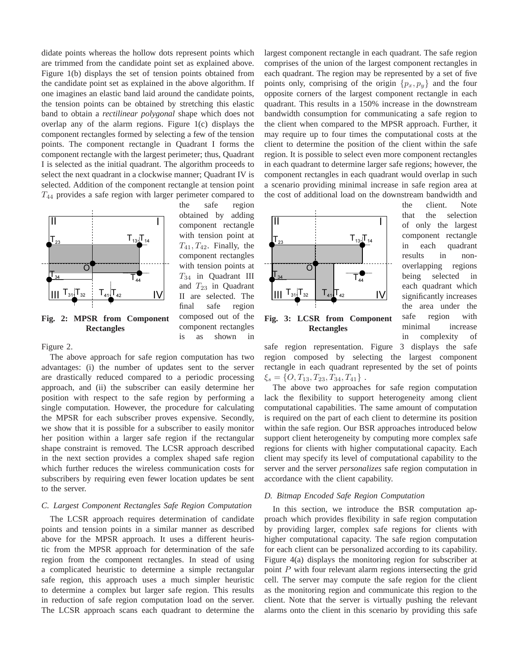didate points whereas the hollow dots represent points which are trimmed from the candidate point set as explained above. Figure 1(b) displays the set of tension points obtained from the candidate point set as explained in the above algorithm. If one imagines an elastic band laid around the candidate points, the tension points can be obtained by stretching this elastic band to obtain a *rectilinear polygonal* shape which does not overlap any of the alarm regions. Figure 1(c) displays the component rectangles formed by selecting a few of the tension points. The component rectangle in Quadrant I forms the component rectangle with the largest perimeter; thus, Quadrant I is selected as the initial quadrant. The algorithm proceeds to select the next quadrant in a clockwise manner; Quadrant IV is selected. Addition of the component rectangle at tension point  $T_{44}$  provides a safe region with larger perimeter compared to

> the safe region obtained by adding component rectangle with tension point at  $T_{41}$ ,  $T_{42}$ . Finally, the component rectangles with tension points at  $T_{34}$  in Quadrant III and  $T_{23}$  in Quadrant II are selected. The final safe region composed out of the component rectangles is as shown in



**Fig. 2: MPSR from Component Rectangles**

## Figure 2.

The above approach for safe region computation has two advantages: (i) the number of updates sent to the server are drastically reduced compared to a periodic processing approach, and (ii) the subscriber can easily determine her position with respect to the safe region by performing a single computation. However, the procedure for calculating the MPSR for each subscriber proves expensive. Secondly, we show that it is possible for a subscriber to easily monitor her position within a larger safe region if the rectangular shape constraint is removed. The LCSR approach described in the next section provides a complex shaped safe region which further reduces the wireless communication costs for subscribers by requiring even fewer location updates be sent to the server.

## *C. Largest Component Rectangles Safe Region Computation*

The LCSR approach requires determination of candidate points and tension points in a similar manner as described above for the MPSR approach. It uses a different heuristic from the MPSR approach for determination of the safe region from the component rectangles. In stead of using a complicated heuristic to determine a simple rectangular safe region, this approach uses a much simpler heuristic to determine a complex but larger safe region. This results in reduction of safe region computation load on the server. The LCSR approach scans each quadrant to determine the largest component rectangle in each quadrant. The safe region comprises of the union of the largest component rectangles in each quadrant. The region may be represented by a set of five points only, comprising of the origin  $\{p_x, p_y\}$  and the four opposite corners of the largest component rectangle in each quadrant. This results in a 150% increase in the downstream bandwidth consumption for communicating a safe region to the client when compared to the MPSR approach. Further, it may require up to four times the computational costs at the client to determine the position of the client within the safe region. It is possible to select even more component rectangles in each quadrant to determine larger safe regions; however, the component rectangles in each quadrant would overlap in such a scenario providing minimal increase in safe region area at the cost of additional load on the downstream bandwidth and



the client. Note that the selection of only the largest component rectangle in each quadrant results in nonoverlapping regions being selected in each quadrant which significantly increases the area under the safe region with minimal increase in complexity of

**Fig. 3: LCSR from Component Rectangles**

safe region representation. Figure 3 displays the safe region composed by selecting the largest component rectangle in each quadrant represented by the set of points  $\xi_s = \{O, T_{13}, T_{23}, T_{34}, T_{41}\}$ .

The above two approaches for safe region computation lack the flexibility to support heterogeneity among client computational capabilities. The same amount of computation is required on the part of each client to determine its position within the safe region. Our BSR approaches introduced below support client heterogeneity by computing more complex safe regions for clients with higher computational capacity. Each client may specify its level of computational capability to the server and the server *personalizes* safe region computation in accordance with the client capability.

# *D. Bitmap Encoded Safe Region Computation*

In this section, we introduce the BSR computation approach which provides flexibility in safe region computation by providing larger, complex safe regions for clients with higher computational capacity. The safe region computation for each client can be personalized according to its capability. Figure 4(a) displays the monitoring region for subscriber at point P with four relevant alarm regions intersecting the grid cell. The server may compute the safe region for the client as the monitoring region and communicate this region to the client. Note that the server is virtually pushing the relevant alarms onto the client in this scenario by providing this safe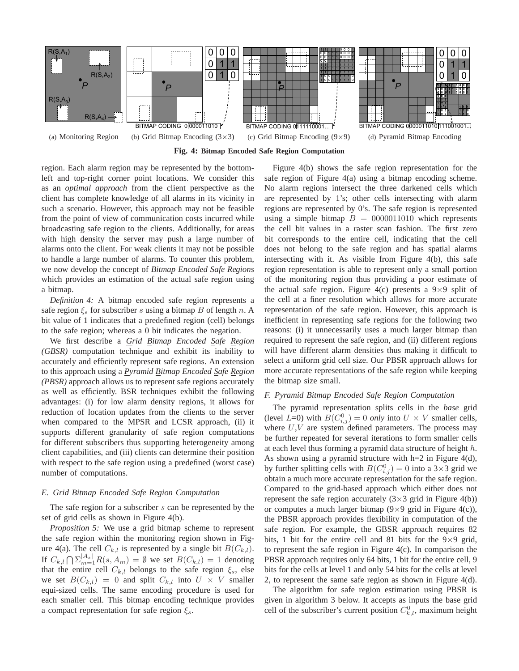

**Fig. 4: Bitmap Encoded Safe Region Computation**

region. Each alarm region may be represented by the bottomleft and top-right corner point locations. We consider this as an *optimal approach* from the client perspective as the client has complete knowledge of all alarms in its vicinity in such a scenario. However, this approach may not be feasible from the point of view of communication costs incurred while broadcasting safe region to the clients. Additionally, for areas with high density the server may push a large number of alarms onto the client. For weak clients it may not be possible to handle a large number of alarms. To counter this problem, we now develop the concept of *Bitmap Encoded Safe Regions* which provides an estimation of the actual safe region using a bitmap.

*Definition 4:* A bitmap encoded safe region represents a safe region  $\xi_s$  for subscriber s using a bitmap B of length n. A bit value of 1 indicates that a predefined region (cell) belongs to the safe region; whereas a 0 bit indicates the negation.

We first describe a *Grid Bitmap Encoded Safe Region (GBSR)* computation technique and exhibit its inability to accurately and efficiently represent safe regions. An extension to this approach using a *Pyramid Bitmap Encoded Safe Region (PBSR)* approach allows us to represent safe regions accurately as well as efficiently. BSR techniques exhibit the following advantages: (i) for low alarm density regions, it allows for reduction of location updates from the clients to the server when compared to the MPSR and LCSR approach, (ii) it supports different granularity of safe region computations for different subscribers thus supporting heterogeneity among client capabilities, and (iii) clients can determine their position with respect to the safe region using a predefined (worst case) number of computations.

## *E. Grid Bitmap Encoded Safe Region Computation*

The safe region for a subscriber s can be represented by the set of grid cells as shown in Figure 4(b).

*Proposition 5:* We use a grid bitmap scheme to represent the safe region within the monitoring region shown in Figure 4(a). The cell  $C_{k,l}$  is represented by a single bit  $B(C_{k,l})$ . If  $C_{k,l} \bigcap \sum_{m=1}^{|A_s|} R(s, A_m) = \emptyset$  we set  $B(C_{k,l}) = 1$  denoting that the entire cell  $C_{k,l}$  belongs to the safe region  $\xi_s$ , else we set  $B(C_{k,l}) = 0$  and split  $C_{k,l}$  into  $U \times V$  smaller equi-sized cells. The same encoding procedure is used for each smaller cell. This bitmap encoding technique provides a compact representation for safe region  $\xi_s$ .

Figure 4(b) shows the safe region representation for the safe region of Figure 4(a) using a bitmap encoding scheme. No alarm regions intersect the three darkened cells which are represented by 1's; other cells intersecting with alarm regions are represented by 0's. The safe region is represented using a simple bitmap  $B = 0000011010$  which represents the cell bit values in a raster scan fashion. The first zero bit corresponds to the entire cell, indicating that the cell does not belong to the safe region and has spatial alarms intersecting with it. As visible from Figure 4(b), this safe region representation is able to represent only a small portion of the monitoring region thus providing a poor estimate of the actual safe region. Figure 4(c) presents a  $9\times9$  split of the cell at a finer resolution which allows for more accurate representation of the safe region. However, this approach is inefficient in representing safe regions for the following two reasons: (i) it unnecessarily uses a much larger bitmap than required to represent the safe region, and (ii) different regions will have different alarm densities thus making it difficult to select a uniform grid cell size. Our PBSR approach allows for more accurate representations of the safe region while keeping the bitmap size small.

# *F. Pyramid Bitmap Encoded Safe Region Computation*

The pyramid representation splits cells in the *base* grid (level  $L=0$ ) with  $B(C_{i,j}^0) = 0$  *only* into  $U \times V$  smaller cells, where  $U, V$  are system defined parameters. The process may be further repeated for several iterations to form smaller cells at each level thus forming a pyramid data structure of height h. As shown using a pyramid structure with h=2 in Figure 4(d), by further splitting cells with  $B(C_{i,j}^0) = 0$  into a 3×3 grid we obtain a much more accurate representation for the safe region. Compared to the grid-based approach which either does not represent the safe region accurately  $(3\times3$  grid in Figure 4(b)) or computes a much larger bitmap  $(9 \times 9 \text{ grid in Figure 4(c)})$ , the PBSR approach provides flexibility in computation of the safe region. For example, the GBSR approach requires 82 bits, 1 bit for the entire cell and 81 bits for the  $9\times9$  grid, to represent the safe region in Figure 4(c). In comparison the PBSR approach requires only 64 bits, 1 bit for the entire cell, 9 bits for the cells at level 1 and only 54 bits for the cells at level 2, to represent the same safe region as shown in Figure 4(d).

The algorithm for safe region estimation using PBSR is given in algorithm 3 below. It accepts as inputs the base grid cell of the subscriber's current position  $C_{k,l}^0$ , maximum height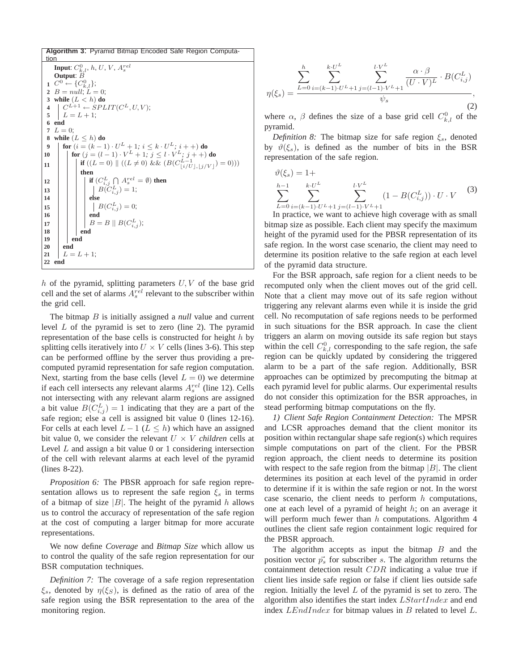

h of the pyramid, splitting parameters  $U, V$  of the base grid cell and the set of alarms  $A_s^{rel}$  relevant to the subscriber within the grid cell.

The bitmap B is initially assigned a *null* value and current level  $L$  of the pyramid is set to zero (line 2). The pyramid representation of the base cells is constructed for height  $h$  by splitting cells iteratively into  $U \times V$  cells (lines 3-6). This step can be performed offline by the server thus providing a precomputed pyramid representation for safe region computation. Next, starting from the base cells (level  $L = 0$ ) we determine if each cell intersects any relevant alarms  $A_s^{rel}$  (line 12). Cells not intersecting with any relevant alarm regions are assigned a bit value  $B(C_{i,j}^L) = 1$  indicating that they are a part of the safe region; else a cell is assigned bit value 0 (lines 12-16). For cells at each level  $L - 1$  ( $L \leq h$ ) which have an assigned bit value 0, we consider the relevant  $U \times V$  *children* cells at Level  $L$  and assign a bit value 0 or 1 considering intersection of the cell with relevant alarms at each level of the pyramid (lines 8-22).

*Proposition 6:* The PBSR approach for safe region representation allows us to represent the safe region  $\xi_s$  in terms of a bitmap of size  $|B|$ . The height of the pyramid h allows us to control the accuracy of representation of the safe region at the cost of computing a larger bitmap for more accurate representations.

We now define *Coverage* and *Bitmap Size* which allow us to control the quality of the safe region representation for our BSR computation techniques.

*Definition 7:* The coverage of a safe region representation  $\xi_s$ , denoted by  $\eta(\xi_s)$ , is defined as the ratio of area of the safe region using the BSR representation to the area of the monitoring region.

$$
\eta(\xi_s) = \frac{\sum_{L=0}^h \sum_{i=(k-1)\cdot U^L+1}^{k \cdot U^L} \sum_{j=(l-1)\cdot V^L+1}^{l \cdot V^L} \frac{\alpha \cdot \beta}{(U \cdot V)^L} \cdot B(C_{i,j}^L)}{\psi_s},
$$
\n(2)

where  $\alpha$ ,  $\beta$  defines the size of a base grid cell  $C_{k,l}^0$  of the pyramid.

*Definition 8:* The bitmap size for safe region  $\xi_s$ , denoted by  $\vartheta(\xi_s)$ , is defined as the number of bits in the BSR representation of the safe region.

$$
\vartheta(\xi_s) = 1 + \sum_{L=0}^{h-1} \sum_{i=(k-1)\cdot U^L+1}^{k \cdot U^L} \sum_{j=(l-1)\cdot V^L+1}^{l \cdot V^L} (1 - B(C_{i,j}^L)) \cdot U \cdot V \tag{3}
$$

In practice, we want to achieve high coverage with as small bitmap size as possible. Each client may specify the maximum height of the pyramid used for the PBSR representation of its safe region. In the worst case scenario, the client may need to determine its position relative to the safe region at each level of the pyramid data structure.

For the BSR approach, safe region for a client needs to be recomputed only when the client moves out of the grid cell. Note that a client may move out of its safe region without triggering any relevant alarms even while it is inside the grid cell. No recomputation of safe regions needs to be performed in such situations for the BSR approach. In case the client triggers an alarm on moving outside its safe region but stays within the cell  $C_{k,l}^0$  corresponding to the safe region, the safe region can be quickly updated by considering the triggered alarm to be a part of the safe region. Additionally, BSR approaches can be optimized by precomputing the bitmap at each pyramid level for public alarms. Our experimental results do not consider this optimization for the BSR approaches, in stead performing bitmap computations on the fly.

*1) Client Safe Region Containment Detection:* The MPSR and LCSR approaches demand that the client monitor its position within rectangular shape safe region(s) which requires simple computations on part of the client. For the PBSR region approach, the client needs to determine its position with respect to the safe region from the bitmap  $|B|$ . The client determines its position at each level of the pyramid in order to determine if it is within the safe region or not. In the worst case scenario, the client needs to perform  $h$  computations, one at each level of a pyramid of height  $h$ ; on an average it will perform much fewer than  $h$  computations. Algorithm 4 outlines the client safe region containment logic required for the PBSR approach.

The algorithm accepts as input the bitmap  $B$  and the position vector  $\vec{p}_s$  for subscriber s. The algorithm returns the containment detection result CDR indicating a value true if client lies inside safe region or false if client lies outside safe region. Initially the level L of the pyramid is set to zero. The algorithm also identifies the start index LStartIndex and end index  $LEndIndex$  for bitmap values in  $B$  related to level  $L$ .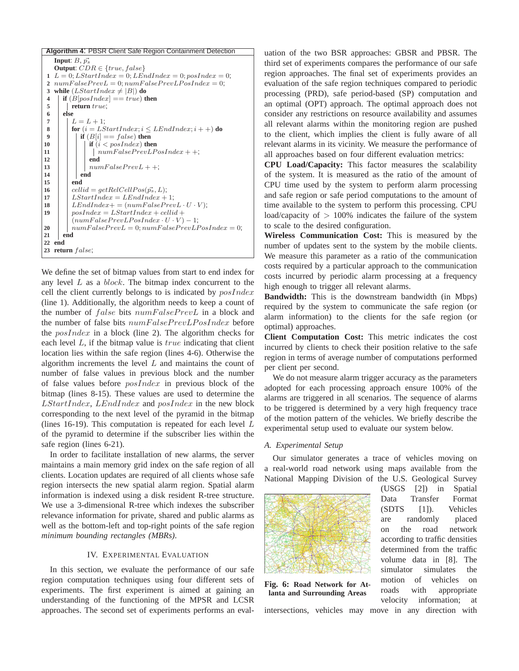

We define the set of bitmap values from start to end index for any level  $L$  as a  $block$ . The bitmap index concurrent to the cell the client currently belongs to is indicated by  $posIndex$ (line 1). Additionally, the algorithm needs to keep a count of the number of false bits numFalsePrevL in a block and the number of false bits numFalsePrevLPosIndex before the  $posIndex$  in a block (line 2). The algorithm checks for each level  $L$ , if the bitmap value is  $true$  indicating that client location lies within the safe region (lines 4-6). Otherwise the algorithm increments the level  $L$  and maintains the count of number of false values in previous block and the number of false values before posIndex in previous block of the bitmap (lines 8-15). These values are used to determine the LStartIndex, LEndIndex and posIndex in the new block corresponding to the next level of the pyramid in the bitmap (lines 16-19). This computation is repeated for each level  $L$ of the pyramid to determine if the subscriber lies within the safe region (lines 6-21).

In order to facilitate installation of new alarms, the server maintains a main memory grid index on the safe region of all clients. Location updates are required of all clients whose safe region intersects the new spatial alarm region. Spatial alarm information is indexed using a disk resident R-tree structure. We use a 3-dimensional R-tree which indexes the subscriber relevance information for private, shared and public alarms as well as the bottom-left and top-right points of the safe region *minimum bounding rectangles (MBRs)*.

# IV. EXPERIMENTAL EVALUATION

In this section, we evaluate the performance of our safe region computation techniques using four different sets of experiments. The first experiment is aimed at gaining an understanding of the functioning of the MPSR and LCSR approaches. The second set of experiments performs an eval-

uation of the two BSR approaches: GBSR and PBSR. The third set of experiments compares the performance of our safe region approaches. The final set of experiments provides an evaluation of the safe region techniques compared to periodic processing (PRD), safe period-based (SP) computation and an optimal (OPT) approach. The optimal approach does not consider any restrictions on resource availability and assumes all relevant alarms within the monitoring region are pushed to the client, which implies the client is fully aware of all relevant alarms in its vicinity. We measure the performance of all approaches based on four different evaluation metrics:

**CPU Load/Capacity:** This factor measures the scalability of the system. It is measured as the ratio of the amount of CPU time used by the system to perform alarm processing and safe region or safe period computations to the amount of time available to the system to perform this processing. CPU load/capacity of  $> 100\%$  indicates the failure of the system to scale to the desired configuration.

**Wireless Communication Cost:** This is measured by the number of updates sent to the system by the mobile clients. We measure this parameter as a ratio of the communication costs required by a particular approach to the communication costs incurred by periodic alarm processing at a frequency high enough to trigger all relevant alarms.

**Bandwidth:** This is the downstream bandwidth (in Mbps) required by the system to communicate the safe region (or alarm information) to the clients for the safe region (or optimal) approaches.

**Client Computation Cost:** This metric indicates the cost incurred by clients to check their position relative to the safe region in terms of average number of computations performed per client per second.

We do not measure alarm trigger accuracy as the parameters adopted for each processing approach ensure 100% of the alarms are triggered in all scenarios. The sequence of alarms to be triggered is determined by a very high frequency trace of the motion pattern of the vehicles. We briefly describe the experimental setup used to evaluate our system below.

## *A. Experimental Setup*

Our simulator generates a trace of vehicles moving on a real-world road network using maps available from the National Mapping Division of the U.S. Geological Survey



**Fig. 6: Road Network for Atlanta and Surrounding Areas**

(USGS [2]) in Spatial Data Transfer Format (SDTS [1]). Vehicles are randomly placed on the road network according to traffic densities determined from the traffic volume data in [8]. The simulator simulates the motion of vehicles on roads with appropriate velocity information; at

intersections, vehicles may move in any direction with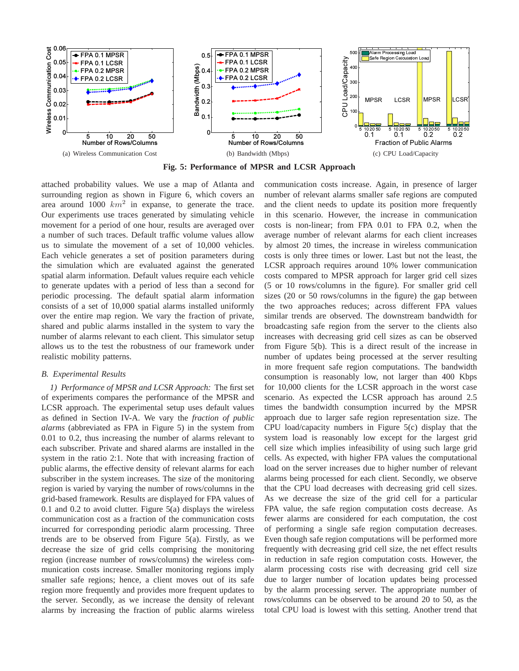

**Fig. 5: Performance of MPSR and LCSR Approach**

attached probability values. We use a map of Atlanta and surrounding region as shown in Figure 6, which covers an area around 1000  $km^2$  in expanse, to generate the trace. Our experiments use traces generated by simulating vehicle movement for a period of one hour, results are averaged over a number of such traces. Default traffic volume values allow us to simulate the movement of a set of 10,000 vehicles. Each vehicle generates a set of position parameters during the simulation which are evaluated against the generated spatial alarm information. Default values require each vehicle to generate updates with a period of less than a second for periodic processing. The default spatial alarm information consists of a set of 10,000 spatial alarms installed uniformly over the entire map region. We vary the fraction of private, shared and public alarms installed in the system to vary the number of alarms relevant to each client. This simulator setup allows us to the test the robustness of our framework under realistic mobility patterns.

## *B. Experimental Results*

*1) Performance of MPSR and LCSR Approach:* The first set of experiments compares the performance of the MPSR and LCSR approach. The experimental setup uses default values as defined in Section IV-A. We vary the *fraction of public alarms* (abbreviated as FPA in Figure 5) in the system from 0.01 to 0.2, thus increasing the number of alarms relevant to each subscriber. Private and shared alarms are installed in the system in the ratio 2:1. Note that with increasing fraction of public alarms, the effective density of relevant alarms for each subscriber in the system increases. The size of the monitoring region is varied by varying the number of rows/columns in the grid-based framework. Results are displayed for FPA values of 0.1 and 0.2 to avoid clutter. Figure 5(a) displays the wireless communication cost as a fraction of the communication costs incurred for corresponding periodic alarm processing. Three trends are to be observed from Figure 5(a). Firstly, as we decrease the size of grid cells comprising the monitoring region (increase number of rows/columns) the wireless communication costs increase. Smaller monitoring regions imply smaller safe regions; hence, a client moves out of its safe region more frequently and provides more frequent updates to the server. Secondly, as we increase the density of relevant alarms by increasing the fraction of public alarms wireless

communication costs increase. Again, in presence of larger number of relevant alarms smaller safe regions are computed and the client needs to update its position more frequently in this scenario. However, the increase in communication costs is non-linear; from FPA 0.01 to FPA 0.2, when the average number of relevant alarms for each client increases by almost 20 times, the increase in wireless communication costs is only three times or lower. Last but not the least, the LCSR approach requires around 10% lower communication costs compared to MPSR approach for larger grid cell sizes (5 or 10 rows/columns in the figure). For smaller grid cell sizes (20 or 50 rows/columns in the figure) the gap between the two approaches reduces; across different FPA values similar trends are observed. The downstream bandwidth for broadcasting safe region from the server to the clients also increases with decreasing grid cell sizes as can be observed from Figure 5(b). This is a direct result of the increase in number of updates being processed at the server resulting in more frequent safe region computations. The bandwidth consumption is reasonably low, not larger than 400 Kbps for 10,000 clients for the LCSR approach in the worst case scenario. As expected the LCSR approach has around 2.5 times the bandwidth consumption incurred by the MPSR approach due to larger safe region representation size. The CPU load/capacity numbers in Figure 5(c) display that the system load is reasonably low except for the largest grid cell size which implies infeasibility of using such large grid cells. As expected, with higher FPA values the computational load on the server increases due to higher number of relevant alarms being processed for each client. Secondly, we observe that the CPU load decreases with decreasing grid cell sizes. As we decrease the size of the grid cell for a particular FPA value, the safe region computation costs decrease. As fewer alarms are considered for each computation, the cost of performing a single safe region computation decreases. Even though safe region computations will be performed more frequently with decreasing grid cell size, the net effect results in reduction in safe region computation costs. However, the alarm processing costs rise with decreasing grid cell size due to larger number of location updates being processed by the alarm processing server. The appropriate number of rows/columns can be observed to be around 20 to 50, as the total CPU load is lowest with this setting. Another trend that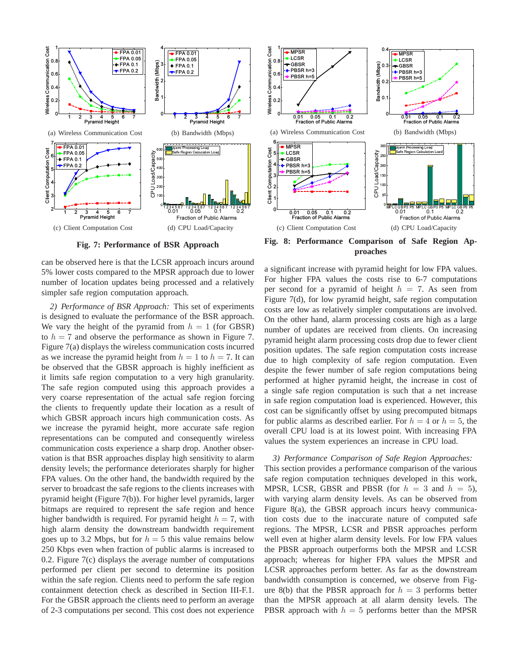

**Fig. 7: Performance of BSR Approach**

can be observed here is that the LCSR approach incurs around 5% lower costs compared to the MPSR approach due to lower number of location updates being processed and a relatively simpler safe region computation approach.

*2) Performance of BSR Approach:* This set of experiments is designed to evaluate the performance of the BSR approach. We vary the height of the pyramid from  $h = 1$  (for GBSR) to  $h = 7$  and observe the performance as shown in Figure 7. Figure 7(a) displays the wireless communication costs incurred as we increase the pyramid height from  $h = 1$  to  $h = 7$ . It can be observed that the GBSR approach is highly inefficient as it limits safe region computation to a very high granularity. The safe region computed using this approach provides a very coarse representation of the actual safe region forcing the clients to frequently update their location as a result of which GBSR approach incurs high communication costs. As we increase the pyramid height, more accurate safe region representations can be computed and consequently wireless communication costs experience a sharp drop. Another observation is that BSR approaches display high sensitivity to alarm density levels; the performance deteriorates sharply for higher FPA values. On the other hand, the bandwidth required by the server to broadcast the safe regions to the clients increases with pyramid height (Figure 7(b)). For higher level pyramids, larger bitmaps are required to represent the safe region and hence higher bandwidth is required. For pyramid height  $h = 7$ , with high alarm density the downstream bandwidth requirement goes up to 3.2 Mbps, but for  $h = 5$  this value remains below 250 Kbps even when fraction of public alarms is increased to 0.2. Figure 7(c) displays the average number of computations performed per client per second to determine its position within the safe region. Clients need to perform the safe region containment detection check as described in Section III-F.1. For the GBSR approach the clients need to perform an average of 2-3 computations per second. This cost does not experience



**Fig. 8: Performance Comparison of Safe Region Approaches**

a significant increase with pyramid height for low FPA values. For higher FPA values the costs rise to 6-7 computations per second for a pyramid of height  $h = 7$ . As seen from Figure 7(d), for low pyramid height, safe region computation costs are low as relatively simpler computations are involved. On the other hand, alarm processing costs are high as a large number of updates are received from clients. On increasing pyramid height alarm processing costs drop due to fewer client position updates. The safe region computation costs increase due to high complexity of safe region computation. Even despite the fewer number of safe region computations being performed at higher pyramid height, the increase in cost of a single safe region computation is such that a net increase in safe region computation load is experienced. However, this cost can be significantly offset by using precomputed bitmaps for public alarms as described earlier. For  $h = 4$  or  $h = 5$ , the overall CPU load is at its lowest point. With increasing FPA values the system experiences an increase in CPU load.

*3) Performance Comparison of Safe Region Approaches:* This section provides a performance comparison of the various safe region computation techniques developed in this work, MPSR, LCSR, GBSR and PBSR (for  $h = 3$  and  $h = 5$ ), with varying alarm density levels. As can be observed from Figure 8(a), the GBSR approach incurs heavy communication costs due to the inaccurate nature of computed safe regions. The MPSR, LCSR and PBSR approaches perform well even at higher alarm density levels. For low FPA values the PBSR approach outperforms both the MPSR and LCSR approach; whereas for higher FPA values the MPSR and LCSR approaches perform better. As far as the downstream bandwidth consumption is concerned, we observe from Figure 8(b) that the PBSR approach for  $h = 3$  performs better than the MPSR approach at all alarm density levels. The PBSR approach with  $h = 5$  performs better than the MPSR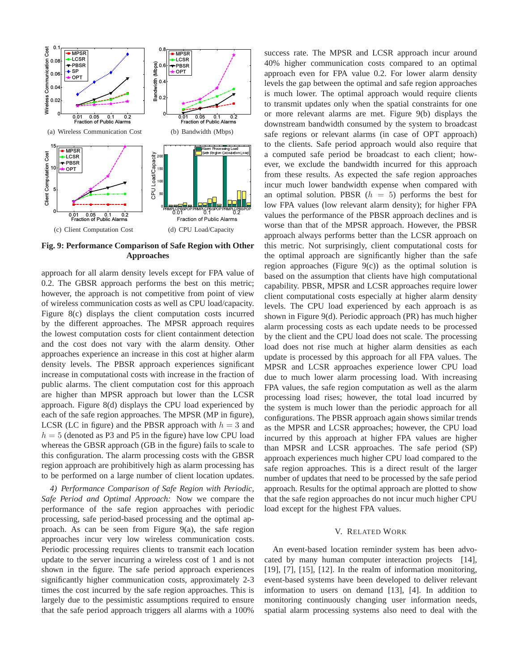

**Fig. 9: Performance Comparison of Safe Region with Other Approaches**

approach for all alarm density levels except for FPA value of 0.2. The GBSR approach performs the best on this metric; however, the approach is not competitive from point of view of wireless communication costs as well as CPU load/capacity. Figure 8(c) displays the client computation costs incurred by the different approaches. The MPSR approach requires the lowest computation costs for client containment detection and the cost does not vary with the alarm density. Other approaches experience an increase in this cost at higher alarm density levels. The PBSR approach experiences significant increase in computational costs with increase in the fraction of public alarms. The client computation cost for this approach are higher than MPSR approach but lower than the LCSR approach. Figure 8(d) displays the CPU load experienced by each of the safe region approaches. The MPSR (MP in figure), LCSR (LC in figure) and the PBSR approach with  $h = 3$  and  $h = 5$  (denoted as P3 and P5 in the figure) have low CPU load whereas the GBSR approach (GB in the figure) fails to scale to this configuration. The alarm processing costs with the GBSR region approach are prohibitively high as alarm processing has to be performed on a large number of client location updates.

*4) Performance Comparison of Safe Region with Periodic, Safe Period and Optimal Approach:* Now we compare the performance of the safe region approaches with periodic processing, safe period-based processing and the optimal approach. As can be seen from Figure 9(a), the safe region approaches incur very low wireless communication costs. Periodic processing requires clients to transmit each location update to the server incurring a wireless cost of 1 and is not shown in the figure. The safe period approach experiences significantly higher communication costs, approximately 2-3 times the cost incurred by the safe region approaches. This is largely due to the pessimistic assumptions required to ensure that the safe period approach triggers all alarms with a 100% success rate. The MPSR and LCSR approach incur around 40% higher communication costs compared to an optimal approach even for FPA value 0.2. For lower alarm density levels the gap between the optimal and safe region approaches is much lower. The optimal approach would require clients to transmit updates only when the spatial constraints for one or more relevant alarms are met. Figure 9(b) displays the downstream bandwidth consumed by the system to broadcast safe regions or relevant alarms (in case of OPT approach) to the clients. Safe period approach would also require that a computed safe period be broadcast to each client; however, we exclude the bandwidth incurred for this approach from these results. As expected the safe region approaches incur much lower bandwidth expense when compared with an optimal solution. PBSR  $(h = 5)$  performs the best for low FPA values (low relevant alarm density); for higher FPA values the performance of the PBSR approach declines and is worse than that of the MPSR approach. However, the PBSR approach always performs better than the LCSR approach on this metric. Not surprisingly, client computational costs for the optimal approach are significantly higher than the safe region approaches (Figure  $9(c)$ ) as the optimal solution is based on the assumption that clients have high computational capability. PBSR, MPSR and LCSR approaches require lower client computational costs especially at higher alarm density levels. The CPU load experienced by each approach is as shown in Figure 9(d). Periodic approach (PR) has much higher alarm processing costs as each update needs to be processed by the client and the CPU load does not scale. The processing load does not rise much at higher alarm densities as each update is processed by this approach for all FPA values. The MPSR and LCSR approaches experience lower CPU load due to much lower alarm processing load. With increasing FPA values, the safe region computation as well as the alarm processing load rises; however, the total load incurred by the system is much lower than the periodic approach for all configurations. The PBSR approach again shows similar trends as the MPSR and LCSR approaches; however, the CPU load incurred by this approach at higher FPA values are higher than MPSR and LCSR approaches. The safe period (SP) approach experiences much higher CPU load compared to the safe region approaches. This is a direct result of the larger number of updates that need to be processed by the safe period approach. Results for the optimal approach are plotted to show that the safe region approaches do not incur much higher CPU load except for the highest FPA values.

## V. RELATED WORK

An event-based location reminder system has been advocated by many human computer interaction projects [14],  $[19]$ ,  $[7]$ ,  $[15]$ ,  $[12]$ . In the realm of information monitoring, event-based systems have been developed to deliver relevant information to users on demand [13], [4]. In addition to monitoring continuously changing user information needs, spatial alarm processing systems also need to deal with the